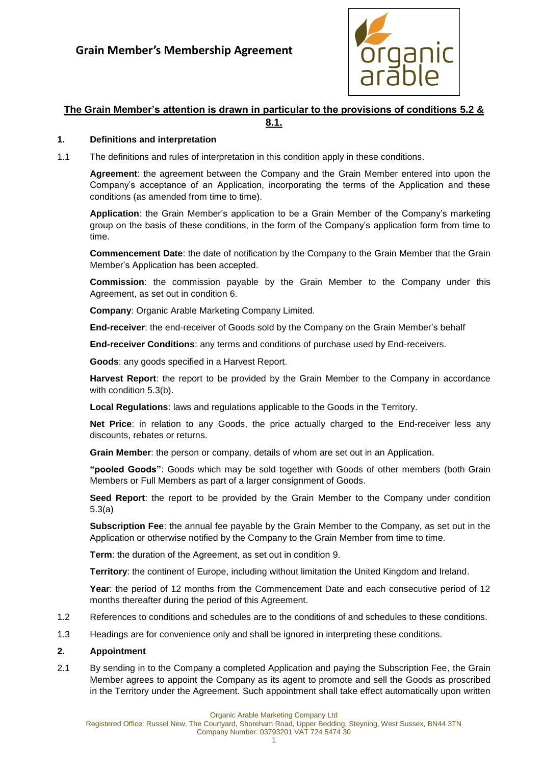

# **The Grain Member's attention is drawn in particular to the provisions of conditions [5.2](#page-2-0) &**

**[8.1.](#page-4-0)**

## **1. Definitions and interpretation**

1.1 The definitions and rules of interpretation in this condition apply in these conditions.

**Agreement**: the agreement between the Company and the Grain Member entered into upon the Company's acceptance of an Application, incorporating the terms of the Application and these conditions (as amended from time to time).

**Application**: the Grain Member's application to be a Grain Member of the Company's marketing group on the basis of these conditions, in the form of the Company's application form from time to time.

**Commencement Date**: the date of notification by the Company to the Grain Member that the Grain Member's Application has been accepted.

**Commission**: the commission payable by the Grain Member to the Company under this Agreement, as set out in condition [6.](#page-3-0)

**Company**: Organic Arable Marketing Company Limited.

**End-receiver**: the end-receiver of Goods sold by the Company on the Grain Member's behalf

**End-receiver Conditions**: any terms and conditions of purchase used by End-receivers.

**Goods**: any goods specified in a Harvest Report.

**Harvest Report**: the report to be provided by the Grain Member to the Company in accordance with condition [5.3\(b\).](#page-2-1)

**Local Regulations**: laws and regulations applicable to the Goods in the Territory.

**Net Price**: in relation to any Goods, the price actually charged to the End-receiver less any discounts, rebates or returns.

**Grain Member**: the person or company, details of whom are set out in an Application.

**"pooled Goods"**: Goods which may be sold together with Goods of other members (both Grain Members or Full Members as part of a larger consignment of Goods.

**Seed Report**: the report to be provided by the Grain Member to the Company under condition [5.3\(a\)](#page-2-2)

**Subscription Fee**: the annual fee payable by the Grain Member to the Company, as set out in the Application or otherwise notified by the Company to the Grain Member from time to time.

**Term**: the duration of the Agreement, as set out in condition [9.](#page-5-0)

**Territory**: the continent of Europe, including without limitation the United Kingdom and Ireland.

**Year**: the period of 12 months from the Commencement Date and each consecutive period of 12 months thereafter during the period of this Agreement.

- 1.2 References to conditions and schedules are to the conditions of and schedules to these conditions.
- 1.3 Headings are for convenience only and shall be ignored in interpreting these conditions.

### **2. Appointment**

2.1 By sending in to the Company a completed Application and paying the Subscription Fee, the Grain Member agrees to appoint the Company as its agent to promote and sell the Goods as proscribed in the Territory under the Agreement. Such appointment shall take effect automatically upon written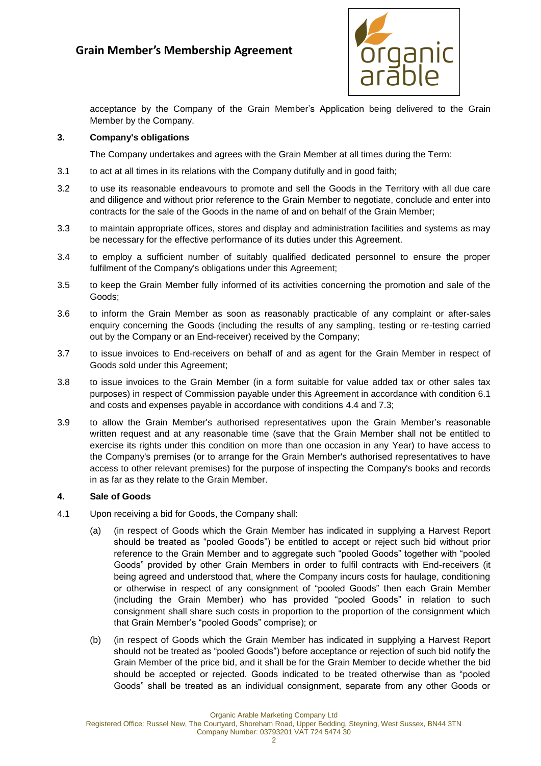

acceptance by the Company of the Grain Member's Application being delivered to the Grain Member by the Company.

## **3. Company's obligations**

The Company undertakes and agrees with the Grain Member at all times during the Term:

- 3.1 to act at all times in its relations with the Company dutifully and in good faith;
- 3.2 to use its reasonable endeavours to promote and sell the Goods in the Territory with all due care and diligence and without prior reference to the Grain Member to negotiate, conclude and enter into contracts for the sale of the Goods in the name of and on behalf of the Grain Member;
- 3.3 to maintain appropriate offices, stores and display and administration facilities and systems as may be necessary for the effective performance of its duties under this Agreement.
- 3.4 to employ a sufficient number of suitably qualified dedicated personnel to ensure the proper fulfilment of the Company's obligations under this Agreement;
- 3.5 to keep the Grain Member fully informed of its activities concerning the promotion and sale of the Goods;
- 3.6 to inform the Grain Member as soon as reasonably practicable of any complaint or after-sales enquiry concerning the Goods (including the results of any sampling, testing or re-testing carried out by the Company or an End-receiver) received by the Company;
- 3.7 to issue invoices to End-receivers on behalf of and as agent for the Grain Member in respect of Goods sold under this Agreement;
- 3.8 to issue invoices to the Grain Member (in a form suitable for value added tax or other sales tax purposes) in respect of Commission payable under this Agreement in accordance with condition [6.1](#page-3-1) and costs and expenses payable in accordance with conditions [4.4](#page-2-3) and [7.3;](#page-4-1)
- 3.9 to allow the Grain Member's authorised representatives upon the Grain Member's reasonable written request and at any reasonable time (save that the Grain Member shall not be entitled to exercise its rights under this condition on more than one occasion in any Year) to have access to the Company's premises (or to arrange for the Grain Member's authorised representatives to have access to other relevant premises) for the purpose of inspecting the Company's books and records in as far as they relate to the Grain Member.

### **4. Sale of Goods**

- <span id="page-1-0"></span>4.1 Upon receiving a bid for Goods, the Company shall:
	- (a) (in respect of Goods which the Grain Member has indicated in supplying a Harvest Report should be treated as "pooled Goods") be entitled to accept or reject such bid without prior reference to the Grain Member and to aggregate such "pooled Goods" together with "pooled Goods" provided by other Grain Members in order to fulfil contracts with End-receivers (it being agreed and understood that, where the Company incurs costs for haulage, conditioning or otherwise in respect of any consignment of "pooled Goods" then each Grain Member (including the Grain Member) who has provided "pooled Goods" in relation to such consignment shall share such costs in proportion to the proportion of the consignment which that Grain Member's "pooled Goods" comprise); or
	- (b) (in respect of Goods which the Grain Member has indicated in supplying a Harvest Report should not be treated as "pooled Goods") before acceptance or rejection of such bid notify the Grain Member of the price bid, and it shall be for the Grain Member to decide whether the bid should be accepted or rejected. Goods indicated to be treated otherwise than as "pooled Goods" shall be treated as an individual consignment, separate from any other Goods or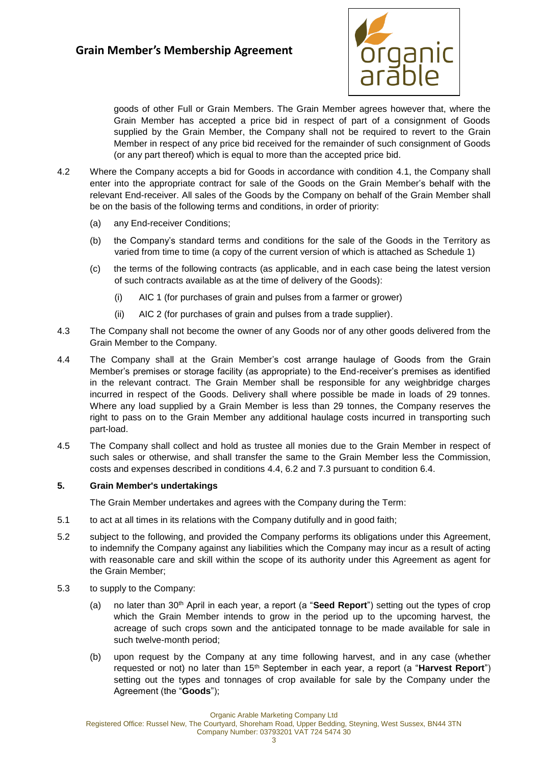

goods of other Full or Grain Members. The Grain Member agrees however that, where the Grain Member has accepted a price bid in respect of part of a consignment of Goods supplied by the Grain Member, the Company shall not be required to revert to the Grain Member in respect of any price bid received for the remainder of such consignment of Goods (or any part thereof) which is equal to more than the accepted price bid.

- 4.2 Where the Company accepts a bid for Goods in accordance with condition [4.1,](#page-1-0) the Company shall enter into the appropriate contract for sale of the Goods on the Grain Member's behalf with the relevant End-receiver. All sales of the Goods by the Company on behalf of the Grain Member shall be on the basis of the following terms and conditions, in order of priority:
	- (a) any End-receiver Conditions;
	- (b) the Company's standard terms and conditions for the sale of the Goods in the Territory as varied from time to time (a copy of the current version of which is attached as [Schedule 1\)](#page-8-0)
	- (c) the terms of the following contracts (as applicable, and in each case being the latest version of such contracts available as at the time of delivery of the Goods):
		- (i) AIC 1 (for purchases of grain and pulses from a farmer or grower)
		- (ii) AIC 2 (for purchases of grain and pulses from a trade supplier).
- 4.3 The Company shall not become the owner of any Goods nor of any other goods delivered from the Grain Member to the Company.
- <span id="page-2-3"></span>4.4 The Company shall at the Grain Member's cost arrange haulage of Goods from the Grain Member's premises or storage facility (as appropriate) to the End-receiver's premises as identified in the relevant contract. The Grain Member shall be responsible for any weighbridge charges incurred in respect of the Goods. Delivery shall where possible be made in loads of 29 tonnes. Where any load supplied by a Grain Member is less than 29 tonnes, the Company reserves the right to pass on to the Grain Member any additional haulage costs incurred in transporting such part-load.
- 4.5 The Company shall collect and hold as trustee all monies due to the Grain Member in respect of such sales or otherwise, and shall transfer the same to the Grain Member less the Commission, costs and expenses described in conditions [4.4,](#page-2-3) [6.2](#page-3-2) and [7.3](#page-4-1) pursuant to condition [6.4.](#page-3-3)

### **5. Grain Member's undertakings**

The Grain Member undertakes and agrees with the Company during the Term:

- 5.1 to act at all times in its relations with the Company dutifully and in good faith;
- <span id="page-2-0"></span>5.2 subject to the following, and provided the Company performs its obligations under this Agreement, to indemnify the Company against any liabilities which the Company may incur as a result of acting with reasonable care and skill within the scope of its authority under this Agreement as agent for the Grain Member;
- <span id="page-2-2"></span><span id="page-2-1"></span>5.3 to supply to the Company:
	- (a) no later than 30th April in each year, a report (a "**Seed Report**") setting out the types of crop which the Grain Member intends to grow in the period up to the upcoming harvest, the acreage of such crops sown and the anticipated tonnage to be made available for sale in such twelve-month period;
	- (b) upon request by the Company at any time following harvest, and in any case (whether requested or not) no later than 15th September in each year, a report (a "**Harvest Report**") setting out the types and tonnages of crop available for sale by the Company under the Agreement (the "**Goods**");

Organic Arable Marketing Company Ltd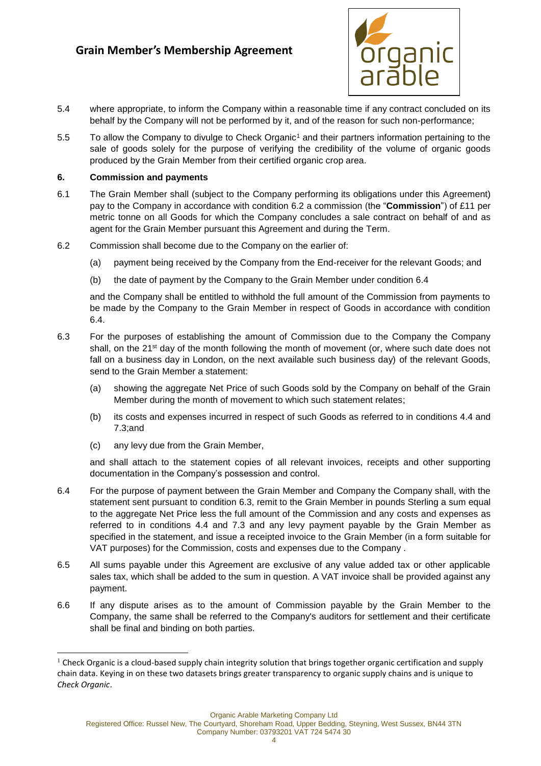<span id="page-3-5"></span>

- 5.4 where appropriate, to inform the Company within a reasonable time if any contract concluded on its behalf by the Company will not be performed by it, and of the reason for such non-performance;
- 5.5 To allow the Company to divulge to Check Organic<sup>1</sup> and their partners information pertaining to the sale of goods solely for the purpose of verifying the credibility of the volume of organic goods produced by the Grain Member from their certified organic crop area.

## <span id="page-3-0"></span>**6. Commission and payments**

- <span id="page-3-1"></span>6.1 The Grain Member shall (subject to the Company performing its obligations under this Agreement) pay to the Company in accordance with condition [6.2](#page-3-2) a commission (the "**Commission**") of £11 per metric tonne on all Goods for which the Company concludes a sale contract on behalf of and as agent for the Grain Member pursuant this Agreement and during the Term.
- <span id="page-3-2"></span>6.2 Commission shall become due to the Company on the earlier of:
	- (a) payment being received by the Company from the End-receiver for the relevant Goods; and
	- (b) the date of payment by the Company to the Grain Member under condition [6.4](#page-3-4)

and the Company shall be entitled to withhold the full amount of the Commission from payments to be made by the Company to the Grain Member in respect of Goods in accordance with condition [6.4.](#page-3-4)

- 6.3 For the purposes of establishing the amount of Commission due to the Company the Company shall, on the 21<sup>st</sup> day of the month following the month of movement (or, where such date does not fall on a business day in London, on the next available such business day) of the relevant Goods, send to the Grain Member a statement:
	- (a) showing the aggregate Net Price of such Goods sold by the Company on behalf of the Grain Member during the month of movement to which such statement relates;
	- (b) its costs and expenses incurred in respect of such Goods as referred to in conditions [4.4](#page-2-3) and [7.3;a](#page-4-1)nd
	- (c) any levy due from the Grain Member,

-

and shall attach to the statement copies of all relevant invoices, receipts and other supporting documentation in the Company's possession and control.

- <span id="page-3-4"></span>6.4 For the purpose of payment between the Grain Member and Company the Company shall, with the statement sent pursuant to condition [6.3,](#page-3-5) remit to the Grain Member in pounds Sterling a sum equal to the aggregate Net Price less the full amount of the Commission and any costs and expenses as referred to in conditions [4.4](#page-2-3) and [7.3](#page-4-1) and any levy payment payable by the Grain Member as specified in the statement, and issue a receipted invoice to the Grain Member (in a form suitable for VAT purposes) for the Commission, costs and expenses due to the Company .
- 6.5 All sums payable under this Agreement are exclusive of any value added tax or other applicable sales tax, which shall be added to the sum in question. A VAT invoice shall be provided against any payment.
- 6.6 If any dispute arises as to the amount of Commission payable by the Grain Member to the Company, the same shall be referred to the Company's auditors for settlement and their certificate shall be final and binding on both parties.

<span id="page-3-3"></span>Organic Arable Marketing Company Ltd

Registered Office: Russel New, The Courtyard, Shoreham Road, Upper Bedding, Steyning, West Sussex, BN44 3TN

 $1$  Check Organic is a cloud-based supply chain integrity solution that brings together organic certification and supply chain data. Keying in on these two datasets brings greater transparency to organic supply chains and is unique to *Check Organic*.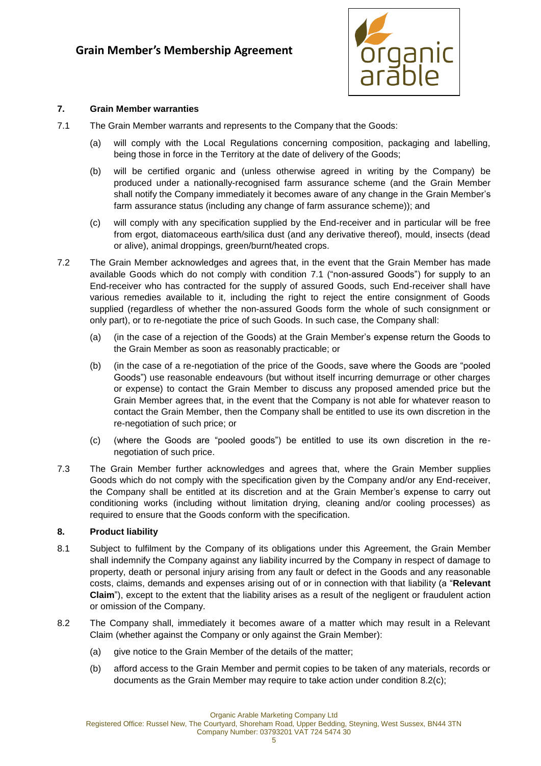

## **7. Grain Member warranties**

- <span id="page-4-2"></span>7.1 The Grain Member warrants and represents to the Company that the Goods:
	- (a) will comply with the Local Regulations concerning composition, packaging and labelling, being those in force in the Territory at the date of delivery of the Goods;
	- (b) will be certified organic and (unless otherwise agreed in writing by the Company) be produced under a nationally-recognised farm assurance scheme (and the Grain Member shall notify the Company immediately it becomes aware of any change in the Grain Member's farm assurance status (including any change of farm assurance scheme)); and
	- (c) will comply with any specification supplied by the End-receiver and in particular will be free from ergot, diatomaceous earth/silica dust (and any derivative thereof), mould, insects (dead or alive), animal droppings, green/burnt/heated crops.
- 7.2 The Grain Member acknowledges and agrees that, in the event that the Grain Member has made available Goods which do not comply with condition [7.1](#page-4-2) ("non-assured Goods") for supply to an End-receiver who has contracted for the supply of assured Goods, such End-receiver shall have various remedies available to it, including the right to reject the entire consignment of Goods supplied (regardless of whether the non-assured Goods form the whole of such consignment or only part), or to re-negotiate the price of such Goods. In such case, the Company shall:
	- (a) (in the case of a rejection of the Goods) at the Grain Member's expense return the Goods to the Grain Member as soon as reasonably practicable; or
	- (b) (in the case of a re-negotiation of the price of the Goods, save where the Goods are "pooled Goods") use reasonable endeavours (but without itself incurring demurrage or other charges or expense) to contact the Grain Member to discuss any proposed amended price but the Grain Member agrees that, in the event that the Company is not able for whatever reason to contact the Grain Member, then the Company shall be entitled to use its own discretion in the re-negotiation of such price; or
	- (c) (where the Goods are "pooled goods") be entitled to use its own discretion in the renegotiation of such price.
- <span id="page-4-1"></span>7.3 The Grain Member further acknowledges and agrees that, where the Grain Member supplies Goods which do not comply with the specification given by the Company and/or any End-receiver, the Company shall be entitled at its discretion and at the Grain Member's expense to carry out conditioning works (including without limitation drying, cleaning and/or cooling processes) as required to ensure that the Goods conform with the specification.

## **8. Product liability**

- <span id="page-4-0"></span>8.1 Subject to fulfilment by the Company of its obligations under this Agreement, the Grain Member shall indemnify the Company against any liability incurred by the Company in respect of damage to property, death or personal injury arising from any fault or defect in the Goods and any reasonable costs, claims, demands and expenses arising out of or in connection with that liability (a "**Relevant Claim**"), except to the extent that the liability arises as a result of the negligent or fraudulent action or omission of the Company.
- 8.2 The Company shall, immediately it becomes aware of a matter which may result in a Relevant Claim (whether against the Company or only against the Grain Member):
	- (a) give notice to the Grain Member of the details of the matter;
	- (b) afford access to the Grain Member and permit copies to be taken of any materials, records or documents as the Grain Member may require to take action under condition [8.2\(c\);](#page-5-1)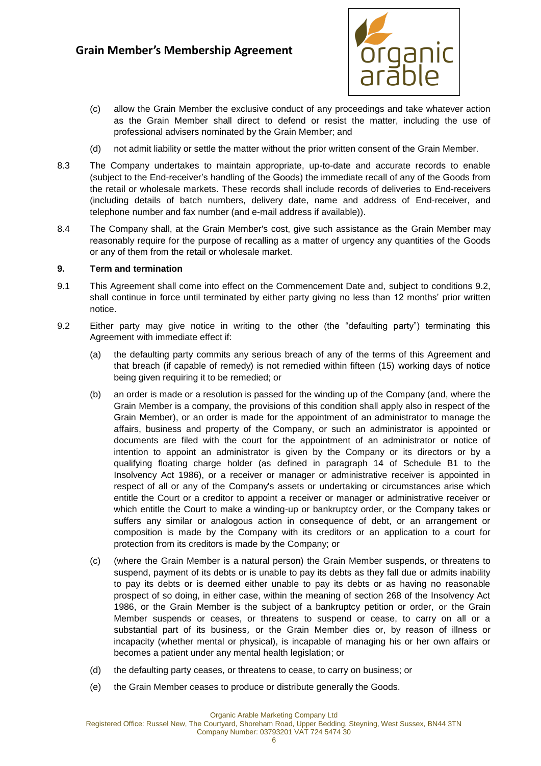

- <span id="page-5-1"></span>(c) allow the Grain Member the exclusive conduct of any proceedings and take whatever action as the Grain Member shall direct to defend or resist the matter, including the use of professional advisers nominated by the Grain Member; and
- (d) not admit liability or settle the matter without the prior written consent of the Grain Member.
- 8.3 The Company undertakes to maintain appropriate, up-to-date and accurate records to enable (subject to the End-receiver's handling of the Goods) the immediate recall of any of the Goods from the retail or wholesale markets. These records shall include records of deliveries to End-receivers (including details of batch numbers, delivery date, name and address of End-receiver, and telephone number and fax number (and e-mail address if available)).
- 8.4 The Company shall, at the Grain Member's cost, give such assistance as the Grain Member may reasonably require for the purpose of recalling as a matter of urgency any quantities of the Goods or any of them from the retail or wholesale market.

#### <span id="page-5-0"></span>**9. Term and termination**

- 9.1 This Agreement shall come into effect on the Commencement Date and, subject to conditions [9.2,](#page-5-2) shall continue in force until terminated by either party giving no less than 12 months' prior written notice.
- <span id="page-5-2"></span>9.2 Either party may give notice in writing to the other (the "defaulting party") terminating this Agreement with immediate effect if:
	- (a) the defaulting party commits any serious breach of any of the terms of this Agreement and that breach (if capable of remedy) is not remedied within fifteen (15) working days of notice being given requiring it to be remedied; or
	- (b) an order is made or a resolution is passed for the winding up of the Company (and, where the Grain Member is a company, the provisions of this condition shall apply also in respect of the Grain Member), or an order is made for the appointment of an administrator to manage the affairs, business and property of the Company, or such an administrator is appointed or documents are filed with the court for the appointment of an administrator or notice of intention to appoint an administrator is given by the Company or its directors or by a qualifying floating charge holder (as defined in paragraph 14 of Schedule B1 to the Insolvency Act 1986), or a receiver or manager or administrative receiver is appointed in respect of all or any of the Company's assets or undertaking or circumstances arise which entitle the Court or a creditor to appoint a receiver or manager or administrative receiver or which entitle the Court to make a winding-up or bankruptcy order, or the Company takes or suffers any similar or analogous action in consequence of debt, or an arrangement or composition is made by the Company with its creditors or an application to a court for protection from its creditors is made by the Company; or
	- (c) (where the Grain Member is a natural person) the Grain Member suspends, or threatens to suspend, payment of its debts or is unable to pay its debts as they fall due or admits inability to pay its debts or is deemed either unable to pay its debts or as having no reasonable prospect of so doing, in either case, within the meaning of section 268 of the Insolvency Act 1986, or the Grain Member is the subject of a bankruptcy petition or order, or the Grain Member suspends or ceases, or threatens to suspend or cease, to carry on all or a substantial part of its business, or the Grain Member dies or, by reason of illness or incapacity (whether mental or physical), is incapable of managing his or her own affairs or becomes a patient under any mental health legislation; or
	- (d) the defaulting party ceases, or threatens to cease, to carry on business; or
	- (e) the Grain Member ceases to produce or distribute generally the Goods.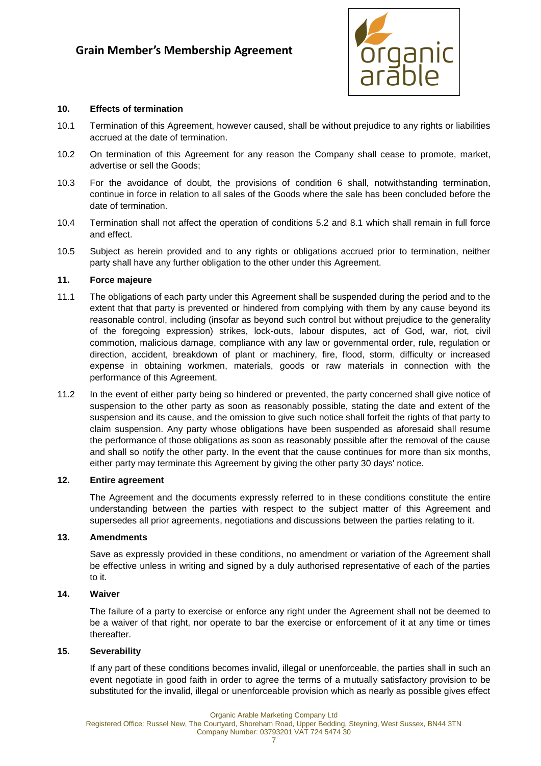

#### **10. Effects of termination**

- 10.1 Termination of this Agreement, however caused, shall be without prejudice to any rights or liabilities accrued at the date of termination.
- 10.2 On termination of this Agreement for any reason the Company shall cease to promote, market, advertise or sell the Goods;
- 10.3 For the avoidance of doubt, the provisions of condition [6](#page-3-0) shall, notwithstanding termination, continue in force in relation to all sales of the Goods where the sale has been concluded before the date of termination.
- 10.4 Termination shall not affect the operation of conditions [5.2](#page-2-0) and [8.1](#page-4-0) which shall remain in full force and effect.
- 10.5 Subject as herein provided and to any rights or obligations accrued prior to termination, neither party shall have any further obligation to the other under this Agreement.

#### **11. Force majeure**

- 11.1 The obligations of each party under this Agreement shall be suspended during the period and to the extent that that party is prevented or hindered from complying with them by any cause beyond its reasonable control, including (insofar as beyond such control but without prejudice to the generality of the foregoing expression) strikes, lock-outs, labour disputes, act of God, war, riot, civil commotion, malicious damage, compliance with any law or governmental order, rule, regulation or direction, accident, breakdown of plant or machinery, fire, flood, storm, difficulty or increased expense in obtaining workmen, materials, goods or raw materials in connection with the performance of this Agreement.
- 11.2 In the event of either party being so hindered or prevented, the party concerned shall give notice of suspension to the other party as soon as reasonably possible, stating the date and extent of the suspension and its cause, and the omission to give such notice shall forfeit the rights of that party to claim suspension. Any party whose obligations have been suspended as aforesaid shall resume the performance of those obligations as soon as reasonably possible after the removal of the cause and shall so notify the other party. In the event that the cause continues for more than six months, either party may terminate this Agreement by giving the other party 30 days' notice.

#### **12. Entire agreement**

The Agreement and the documents expressly referred to in these conditions constitute the entire understanding between the parties with respect to the subject matter of this Agreement and supersedes all prior agreements, negotiations and discussions between the parties relating to it.

#### **13. Amendments**

Save as expressly provided in these conditions, no amendment or variation of the Agreement shall be effective unless in writing and signed by a duly authorised representative of each of the parties to it.

#### **14. Waiver**

The failure of a party to exercise or enforce any right under the Agreement shall not be deemed to be a waiver of that right, nor operate to bar the exercise or enforcement of it at any time or times thereafter.

#### **15. Severability**

If any part of these conditions becomes invalid, illegal or unenforceable, the parties shall in such an event negotiate in good faith in order to agree the terms of a mutually satisfactory provision to be substituted for the invalid, illegal or unenforceable provision which as nearly as possible gives effect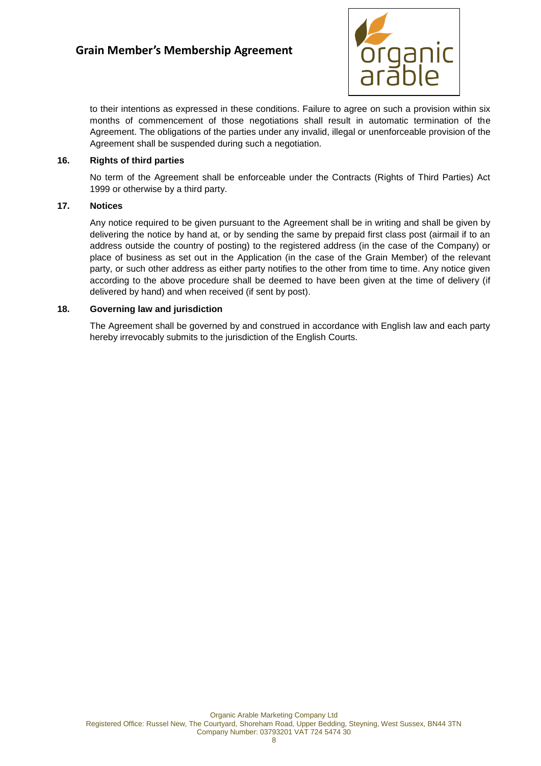

to their intentions as expressed in these conditions. Failure to agree on such a provision within six months of commencement of those negotiations shall result in automatic termination of the Agreement. The obligations of the parties under any invalid, illegal or unenforceable provision of the Agreement shall be suspended during such a negotiation.

### **16. Rights of third parties**

No term of the Agreement shall be enforceable under the Contracts (Rights of Third Parties) Act 1999 or otherwise by a third party.

#### **17. Notices**

Any notice required to be given pursuant to the Agreement shall be in writing and shall be given by delivering the notice by hand at, or by sending the same by prepaid first class post (airmail if to an address outside the country of posting) to the registered address (in the case of the Company) or place of business as set out in the Application (in the case of the Grain Member) of the relevant party, or such other address as either party notifies to the other from time to time. Any notice given according to the above procedure shall be deemed to have been given at the time of delivery (if delivered by hand) and when received (if sent by post).

#### **18. Governing law and jurisdiction**

The Agreement shall be governed by and construed in accordance with English law and each party hereby irrevocably submits to the jurisdiction of the English Courts.